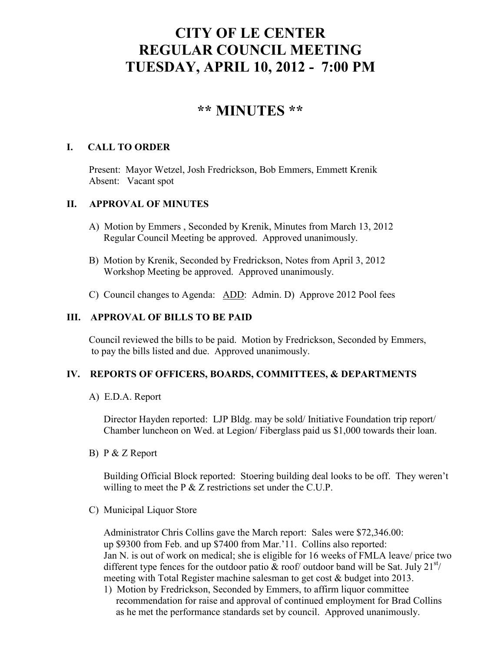# **CITY OF LE CENTER REGULAR COUNCIL MEETING TUESDAY, APRIL 10, 2012 - 7:00 PM**

## **\*\* MINUTES \*\***

## **I. CALL TO ORDER**

Present: Mayor Wetzel, Josh Fredrickson, Bob Emmers, Emmett Krenik Absent: Vacant spot

## **II. APPROVAL OF MINUTES**

- A) Motion by Emmers , Seconded by Krenik, Minutes from March 13, 2012 Regular Council Meeting be approved. Approved unanimously.
- B) Motion by Krenik, Seconded by Fredrickson, Notes from April 3, 2012 Workshop Meeting be approved. Approved unanimously.
- C) Council changes to Agenda: ADD: Admin. D) Approve 2012 Pool fees

## **III. APPROVAL OF BILLS TO BE PAID**

Council reviewed the bills to be paid. Motion by Fredrickson, Seconded by Emmers, to pay the bills listed and due. Approved unanimously.

### **IV. REPORTS OF OFFICERS, BOARDS, COMMITTEES, & DEPARTMENTS**

A) E.D.A. Report

 Director Hayden reported: LJP Bldg. may be sold/ Initiative Foundation trip report/ Chamber luncheon on Wed. at Legion/ Fiberglass paid us \$1,000 towards their loan.

B) P & Z Report

 Building Official Block reported: Stoering building deal looks to be off. They weren't willing to meet the P & Z restrictions set under the C.U.P.

C) Municipal Liquor Store

Administrator Chris Collins gave the March report: Sales were \$72,346.00: up \$9300 from Feb. and up \$7400 from Mar.'11. Collins also reported: Jan N. is out of work on medical; she is eligible for 16 weeks of FMLA leave/ price two different type fences for the outdoor patio  $\&$  roof/ outdoor band will be Sat. July 21<sup>st</sup>/ meeting with Total Register machine salesman to get cost & budget into 2013.

1) Motion by Fredrickson, Seconded by Emmers, to affirm liquor committee recommendation for raise and approval of continued employment for Brad Collins as he met the performance standards set by council. Approved unanimously.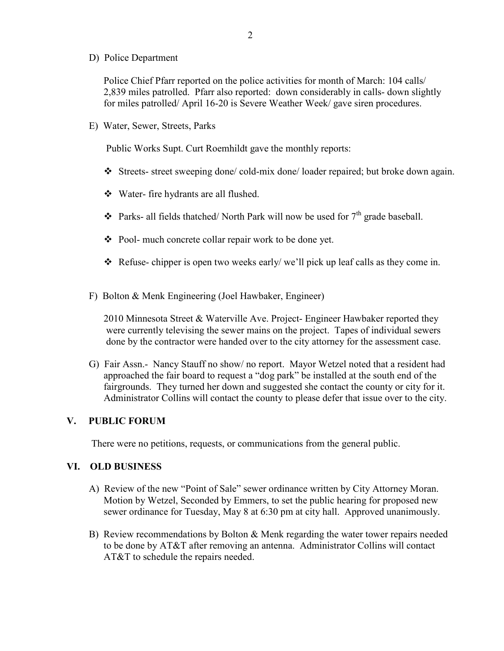D) Police Department

Police Chief Pfarr reported on the police activities for month of March: 104 calls/ 2,839 miles patrolled. Pfarr also reported: down considerably in calls- down slightly for miles patrolled/ April 16-20 is Severe Weather Week/ gave siren procedures.

E) Water, Sewer, Streets, Parks

Public Works Supt. Curt Roemhildt gave the monthly reports:

- Streets- street sweeping done/ cold-mix done/ loader repaired; but broke down again.
- Water- fire hydrants are all flushed.
- $\triangleleft$  Parks- all fields thatched/ North Park will now be used for  $7<sup>th</sup>$  grade baseball.
- Pool- much concrete collar repair work to be done yet.
- $\triangle$  Refuse- chipper is open two weeks early/we'll pick up leaf calls as they come in.
- F) Bolton & Menk Engineering (Joel Hawbaker, Engineer)

 2010 Minnesota Street & Waterville Ave. Project- Engineer Hawbaker reported they were currently televising the sewer mains on the project. Tapes of individual sewers done by the contractor were handed over to the city attorney for the assessment case.

G) Fair Assn.- Nancy Stauff no show/ no report. Mayor Wetzel noted that a resident had approached the fair board to request a "dog park" be installed at the south end of the fairgrounds. They turned her down and suggested she contact the county or city for it. Administrator Collins will contact the county to please defer that issue over to the city.

#### **V. PUBLIC FORUM**

There were no petitions, requests, or communications from the general public.

#### **VI. OLD BUSINESS**

- A) Review of the new "Point of Sale" sewer ordinance written by City Attorney Moran. Motion by Wetzel, Seconded by Emmers, to set the public hearing for proposed new sewer ordinance for Tuesday, May 8 at 6:30 pm at city hall. Approved unanimously.
- B) Review recommendations by Bolton & Menk regarding the water tower repairs needed to be done by AT&T after removing an antenna. Administrator Collins will contact AT&T to schedule the repairs needed.